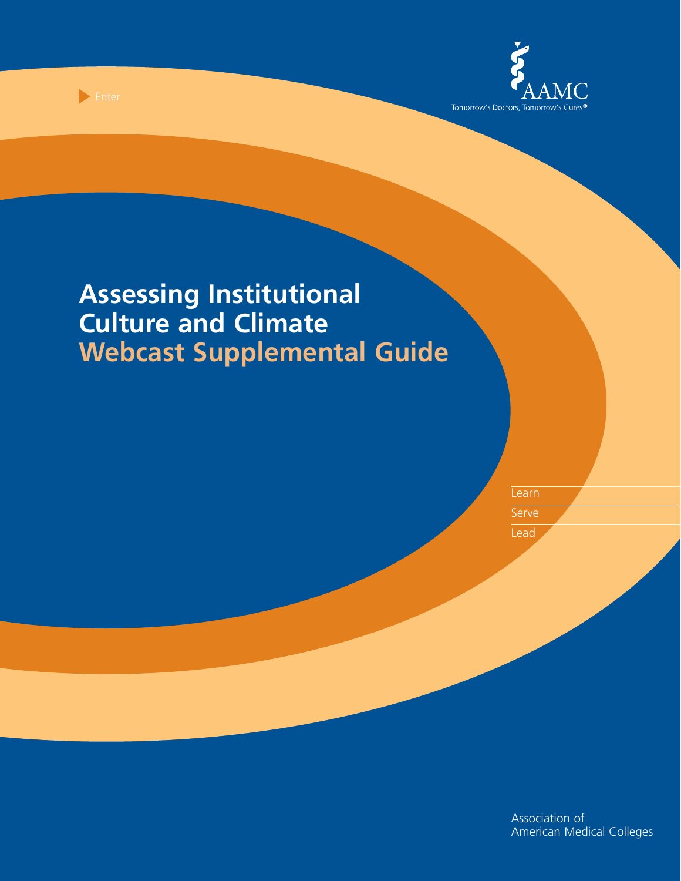

Enter

Learn **Serve** 

Lead

Association of American Medical Colleges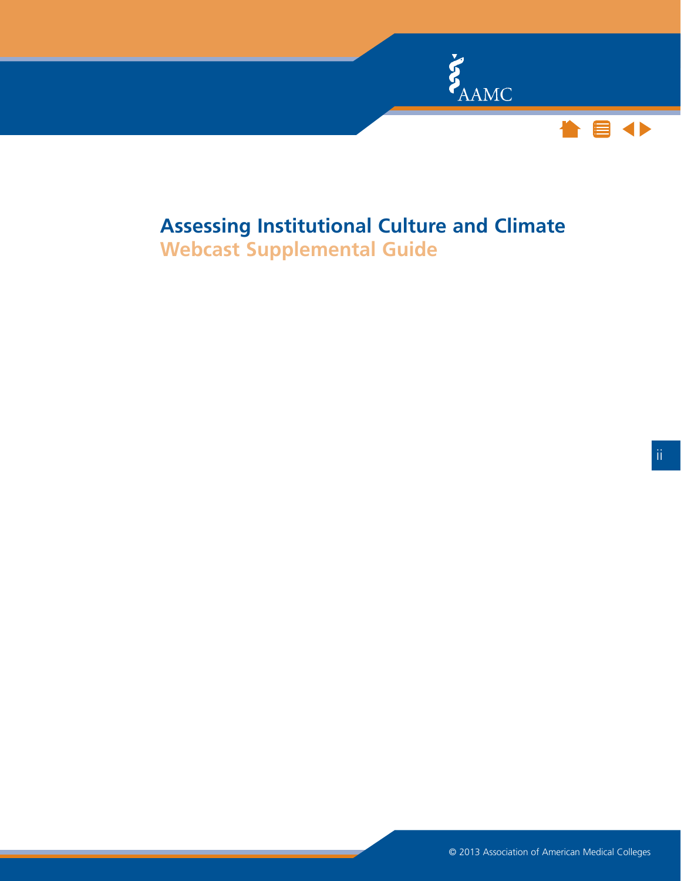

# **Assessing Institutional Culture and Climate**

**Webcast Supplemental Guide**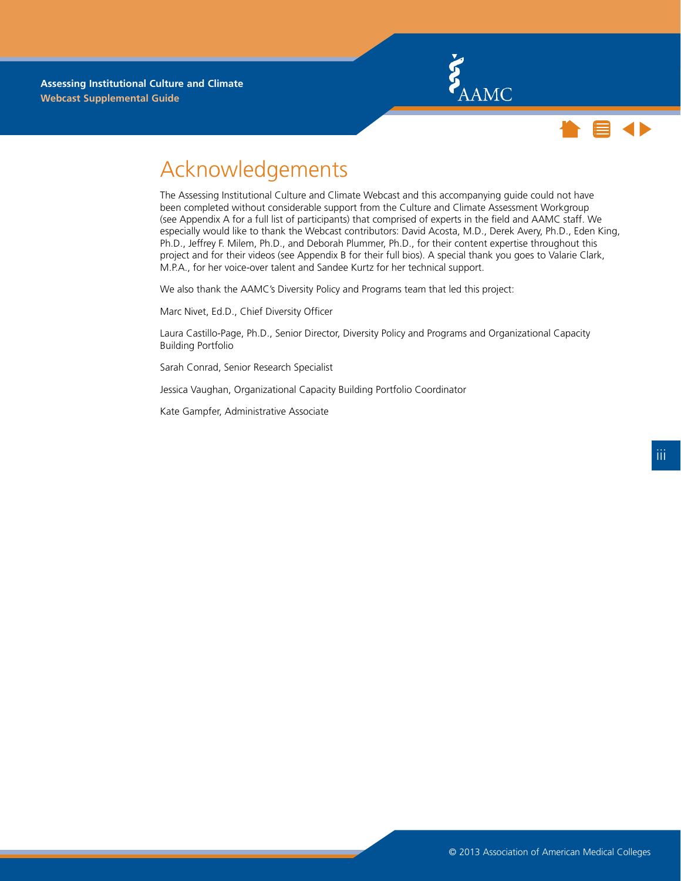



### Acknowledgements

The Assessing Institutional Culture and Climate Webcast and this accompanying guide could not have been completed without considerable support from the Culture and Climate Assessment Workgroup (see Appendix A for a full list of participants) that comprised of experts in the field and AAMC staff. We especially would like to thank the Webcast contributors: David Acosta, M.D., Derek Avery, Ph.D., Eden King, Ph.D., Jeffrey F. Milem, Ph.D., and Deborah Plummer, Ph.D., for their content expertise throughout this project and for their videos (see Appendix B for their full bios). A special thank you goes to Valarie Clark, M.P.A., for her voice-over talent and Sandee Kurtz for her technical support.

We also thank the AAMC's Diversity Policy and Programs team that led this project:

Marc Nivet, Ed.D., Chief Diversity Officer

Laura Castillo-Page, Ph.D., Senior Director, Diversity Policy and Programs and Organizational Capacity Building Portfolio

Sarah Conrad, Senior Research Specialist

Jessica Vaughan, Organizational Capacity Building Portfolio Coordinator

Kate Gampfer, Administrative Associate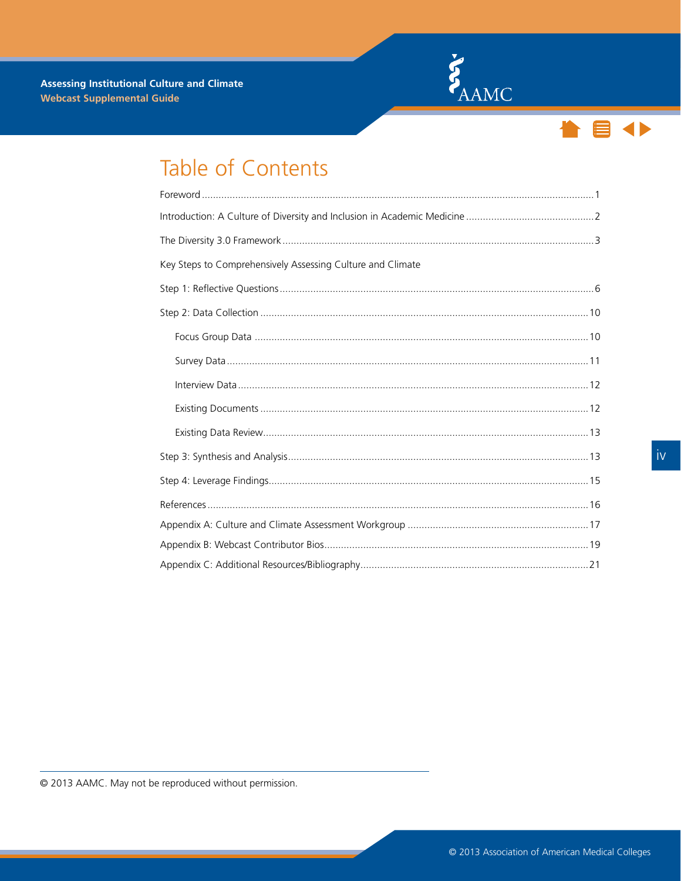



## Table of Contents

| Key Steps to Comprehensively Assessing Culture and Climate |  |
|------------------------------------------------------------|--|
|                                                            |  |
|                                                            |  |
|                                                            |  |
|                                                            |  |
|                                                            |  |
|                                                            |  |
|                                                            |  |
|                                                            |  |
|                                                            |  |
|                                                            |  |
|                                                            |  |
|                                                            |  |
|                                                            |  |

© 2013 AAMC. May not be reproduced without permission.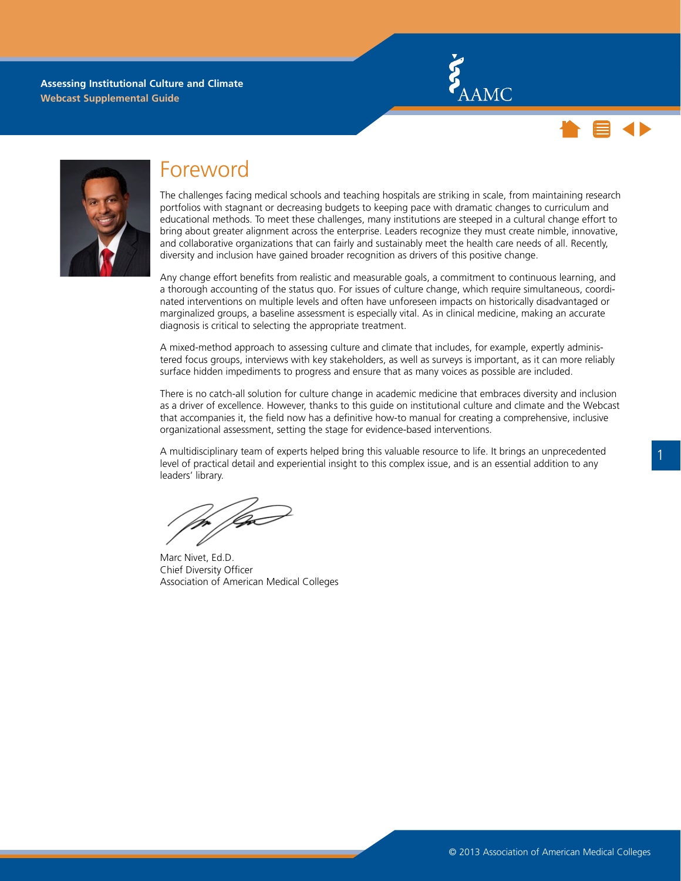



<span id="page-4-0"></span>

### Foreword

The challenges facing medical schools and teaching hospitals are striking in scale, from maintaining research portfolios with stagnant or decreasing budgets to keeping pace with dramatic changes to curriculum and educational methods. To meet these challenges, many institutions are steeped in a cultural change effort to bring about greater alignment across the enterprise. Leaders recognize they must create nimble, innovative, and collaborative organizations that can fairly and sustainably meet the health care needs of all. Recently, diversity and inclusion have gained broader recognition as drivers of this positive change.

Any change effort benefits from realistic and measurable goals, a commitment to continuous learning, and a thorough accounting of the status quo. For issues of culture change, which require simultaneous, coordinated interventions on multiple levels and often have unforeseen impacts on historically disadvantaged or marginalized groups, a baseline assessment is especially vital. As in clinical medicine, making an accurate diagnosis is critical to selecting the appropriate treatment.

A mixed-method approach to assessing culture and climate that includes, for example, expertly administered focus groups, interviews with key stakeholders, as well as surveys is important, as it can more reliably surface hidden impediments to progress and ensure that as many voices as possible are included.

There is no catch-all solution for culture change in academic medicine that embraces diversity and inclusion as a driver of excellence. However, thanks to this guide on institutional culture and climate and the [Webcast](http://www.aamc.org/diversity) that accompanies it, the field now has a definitive how-to manual for creating a comprehensive, inclusive organizational assessment, setting the stage for evidence-based interventions.

A multidisciplinary team of experts helped bring this valuable resource to life. It brings an unprecedented level of practical detail and experiential insight to this complex issue, and is an essential addition to any leaders' library.

/Q

Marc Nivet, Ed.D. Chief Diversity Officer Association of American Medical Colleges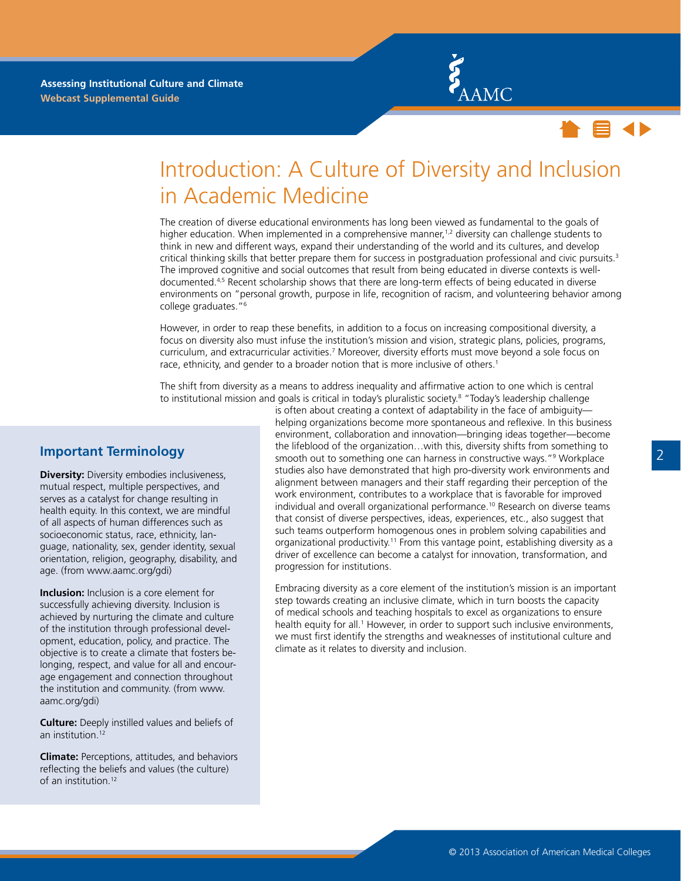



### <span id="page-5-0"></span>Introduction: A Culture of Diversity and Inclusion in Academic Medicine

The creation of diverse educational environments has long been viewed as fundamental to the goals of higher education. When implemented in a comprehensive manner,<sup>1,2</sup> diversity can challenge students to think in new and different ways, expand their understanding of the world and its cultures, and develop critical thinking skills that better prepare them for success in postgraduation professional and civic pursuits.<sup>3</sup> The improved cognitive and social outcomes that result from being educated in diverse contexts is welldocumented.4,5 Recent scholarship shows that there are long-term effects of being educated in diverse environments on "personal growth, purpose in life, recognition of racism, and volunteering behavior among college graduates."6

However, in order to reap these benefits, in addition to a focus on increasing compositional diversity, a focus on diversity also must infuse the institution's mission and vision, strategic plans, policies, programs, curriculum, and extracurricular activities.<sup>7</sup> Moreover, diversity efforts must move beyond a sole focus on race, ethnicity, and gender to a broader notion that is more inclusive of others.<sup>1</sup>

The shift from diversity as a means to address inequality and affirmative action to one which is central to institutional mission and goals is critical in today's pluralistic society.<sup>8</sup> "Today's leadership challenge

#### **Important Terminology**

**Diversity:** Diversity embodies inclusiveness, mutual respect, multiple perspectives, and serves as a catalyst for change resulting in health equity. In this context, we are mindful of all aspects of human differences such as socioeconomic status, race, ethnicity, language, nationality, sex, gender identity, sexual orientation, religion, geography, disability, and age. (from www.aamc.org/gdi)

**Inclusion:** Inclusion is a core element for successfully achieving diversity. Inclusion is achieved by nurturing the climate and culture of the institution through professional development, education, policy, and practice. The objective is to create a climate that fosters belonging, respect, and value for all and encourage engagement and connection throughout the institution and community. (from www. aamc.org/gdi)

**Culture:** Deeply instilled values and beliefs of an institution.12

**Climate:** Perceptions, attitudes, and behaviors reflecting the beliefs and values (the culture) of an institution.12

is often about creating a context of adaptability in the face of ambiguity helping organizations become more spontaneous and reflexive. In this business environment, collaboration and innovation—bringing ideas together—become the lifeblood of the organization…with this, diversity shifts from something to smooth out to something one can harness in constructive ways."9 Workplace studies also have demonstrated that high pro-diversity work environments and alignment between managers and their staff regarding their perception of the work environment, contributes to a workplace that is favorable for improved individual and overall organizational performance.<sup>10</sup> Research on diverse teams that consist of diverse perspectives, ideas, experiences, etc., also suggest that such teams outperform homogenous ones in problem solving capabilities and organizational productivity.11 From this vantage point, establishing diversity as a driver of excellence can become a catalyst for innovation, transformation, and progression for institutions.

Embracing diversity as a core element of the institution's mission is an important step towards creating an inclusive climate, which in turn boosts the capacity of medical schools and teaching hospitals to excel as organizations to ensure health equity for all.<sup>1</sup> However, in order to support such inclusive environments, we must first identify the strengths and weaknesses of institutional culture and climate as it relates to diversity and inclusion.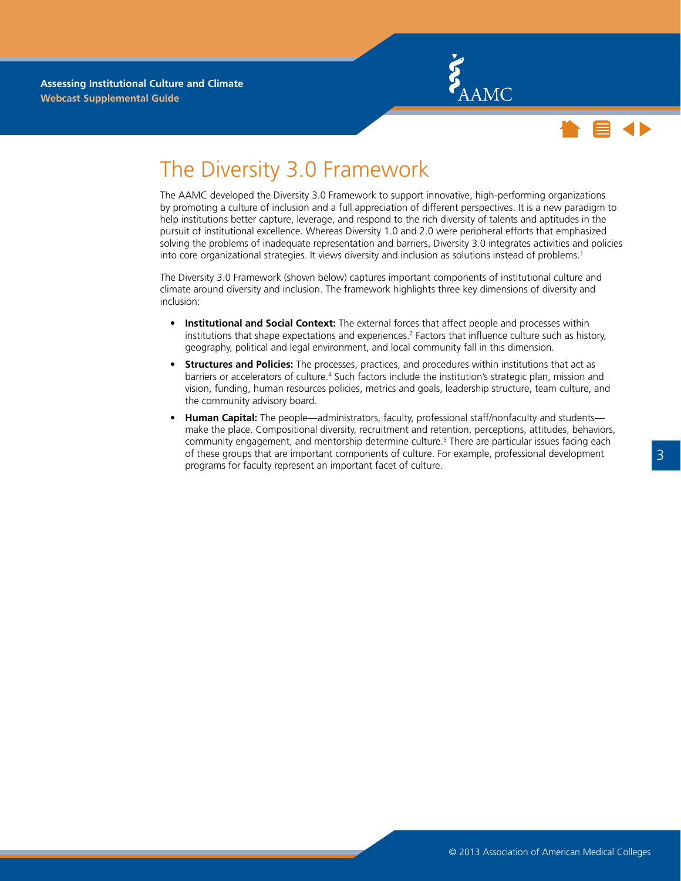



### <span id="page-6-0"></span>The Diversity 3.0 Framework

The AAMC developed the Diversity 3.0 Framework to support innovative, high-performing organizations by promoting a culture of inclusion and a full appreciation of different perspectives. It is a new paradigm to help institutions better capture, leverage, and respond to the rich diversity of talents and aptitudes in the pursuit of institutional excellence. Whereas Diversity 1.0 and 2.0 were peripheral efforts that emphasized solving the problems of inadequate representation and barriers, Diversity 3.0 integrates activities and policies into core organizational strategies. It views diversity and inclusion as solutions instead of problems.<sup>1</sup>

The Diversity 3.0 Framework (shown below) captures important components of institutional culture and climate around diversity and inclusion. The framework highlights three key dimensions of diversity and inclusion:

- • **Institutional and Social Context:** The external forces that affect people and processes within institutions that shape expectations and experiences.<sup>2</sup> Factors that influence culture such as history, geography, political and legal environment, and local community fall in this dimension.
- **Structures and Policies:** The processes, practices, and procedures within institutions that act as barriers or accelerators of culture.<sup>4</sup> Such factors include the institution's strategic plan, mission and vision, funding, human resources policies, metrics and goals, leadership structure, team culture, and the community advisory board.
- Human Capital: The people—administrators, faculty, professional staff/nonfaculty and students make the place. Compositional diversity, recruitment and retention, perceptions, attitudes, behaviors, community engagement, and mentorship determine culture.<sup>5</sup> There are particular issues facing each of these groups that are important components of culture. For example, professional development programs for faculty represent an important facet of culture.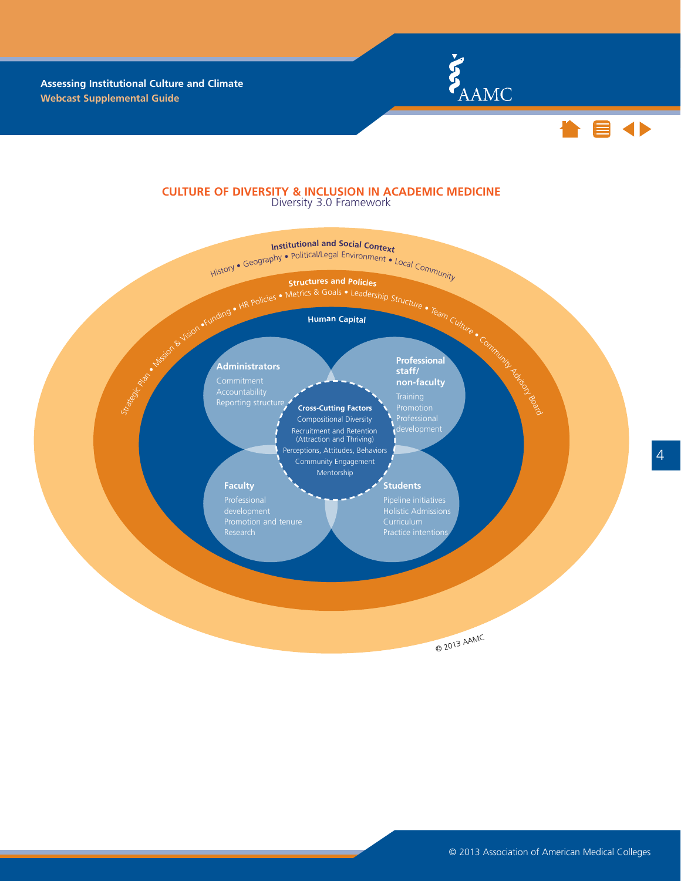



#### **CULTURE OF DIVERSITY & INCLUSION IN ACADEMIC MEDICINE** Diversity 3.0 Framework

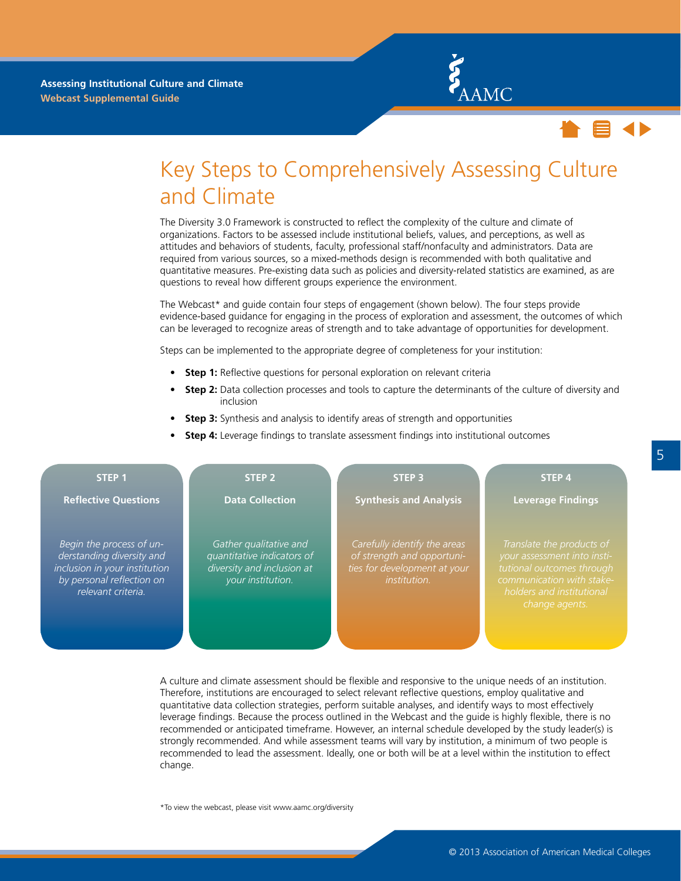



### Key Steps to Comprehensively Assessing Culture and Climate

The Diversity 3.0 Framework is constructed to reflect the complexity of the culture and climate of organizations. Factors to be assessed include institutional beliefs, values, and perceptions, as well as attitudes and behaviors of students, faculty, professional staff/nonfaculty and administrators. Data are required from various sources, so a mixed-methods design is recommended with both qualitative and quantitative measures. Pre-existing data such as policies and diversity-related statistics are examined, as are questions to reveal how different groups experience the environment.

The Webcast\* and guide contain four steps of engagement (shown below). The four steps provide evidence-based guidance for engaging in the process of exploration and assessment, the outcomes of which can be leveraged to recognize areas of strength and to take advantage of opportunities for development.

Steps can be implemented to the appropriate degree of completeness for your institution:

- **Step 1:** Reflective questions for personal exploration on relevant criteria
- **Step 2:** Data collection processes and tools to capture the determinants of the culture of diversity and inclusion
- **Step 3:** Synthesis and analysis to identify areas of strength and opportunities
- **Step 4:** Leverage findings to translate assessment findings into institutional outcomes

| STEP <sub>1</sub>                                                                                                                         | STEP <sub>2</sub>                                                                                       | <b>STEP 3</b>                                                                                                     | <b>STEP 4</b>                                                                                                                                                     |
|-------------------------------------------------------------------------------------------------------------------------------------------|---------------------------------------------------------------------------------------------------------|-------------------------------------------------------------------------------------------------------------------|-------------------------------------------------------------------------------------------------------------------------------------------------------------------|
| <b>Reflective Questions</b>                                                                                                               | <b>Data Collection</b>                                                                                  | <b>Synthesis and Analysis</b>                                                                                     | <b>Leverage Findings</b>                                                                                                                                          |
| Begin the process of un-<br>derstanding diversity and<br>inclusion in your institution<br>by personal reflection on<br>relevant criteria. | Gather qualitative and<br>quantitative indicators of<br>diversity and inclusion at<br>your institution. | Carefully identify the areas<br>of strength and opportuni-<br>ties for development at your<br><i>institution.</i> | Translate the products of<br>your assessment into insti-<br>tutional outcomes through<br>communication with stake-<br>holders and institutional<br>change agents. |

A culture and climate assessment should be flexible and responsive to the unique needs of an institution. Therefore, institutions are encouraged to select relevant reflective questions, employ qualitative and quantitative data collection strategies, perform suitable analyses, and identify ways to most effectively leverage findings. Because the process outlined in the Webcast and the guide is highly flexible, there is no recommended or anticipated timeframe. However, an internal schedule developed by the study leader(s) is strongly recommended. And while assessment teams will vary by institution, a minimum of two people is recommended to lead the assessment. Ideally, one or both will be at a level within the institution to effect change.

\*To view the webcast, please visit www.aamc.org/diversity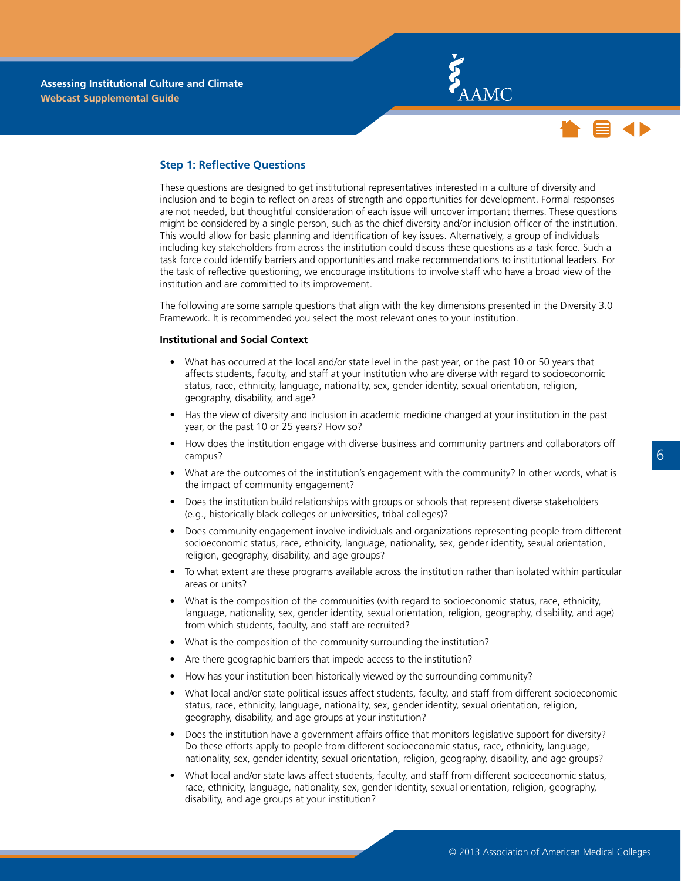



#### <span id="page-9-0"></span>**Step 1: Reflective Questions**

These questions are designed to get institutional representatives interested in a culture of diversity and inclusion and to begin to reflect on areas of strength and opportunities for development. Formal responses are not needed, but thoughtful consideration of each issue will uncover important themes. These questions might be considered by a single person, such as the chief diversity and/or inclusion officer of the institution. This would allow for basic planning and identification of key issues. Alternatively, a group of individuals including key stakeholders from across the institution could discuss these questions as a task force. Such a task force could identify barriers and opportunities and make recommendations to institutional leaders. For the task of reflective questioning, we encourage institutions to involve staff who have a broad view of the institution and are committed to its improvement.

The following are some sample questions that align with the key dimensions presented in the Diversity 3.0 Framework. It is recommended you select the most relevant ones to your institution.

#### **Institutional and Social Context**

- What has occurred at the local and/or state level in the past year, or the past 10 or 50 years that affects students, faculty, and staff at your institution who are diverse with regard to socioeconomic status, race, ethnicity, language, nationality, sex, gender identity, sexual orientation, religion, geography, disability, and age?
- Has the view of diversity and inclusion in academic medicine changed at your institution in the past year, or the past 10 or 25 years? How so?
- How does the institution engage with diverse business and community partners and collaborators off campus?
- • What are the outcomes of the institution's engagement with the community? In other words, what is the impact of community engagement?
- Does the institution build relationships with groups or schools that represent diverse stakeholders (e.g., historically black colleges or universities, tribal colleges)?
- Does community engagement involve individuals and organizations representing people from different socioeconomic status, race, ethnicity, language, nationality, sex, gender identity, sexual orientation, religion, geography, disability, and age groups?
- To what extent are these programs available across the institution rather than isolated within particular areas or units?
- What is the composition of the communities (with regard to socioeconomic status, race, ethnicity, language, nationality, sex, gender identity, sexual orientation, religion, geography, disability, and age) from which students, faculty, and staff are recruited?
- What is the composition of the community surrounding the institution?
- Are there geographic barriers that impede access to the institution?
- How has your institution been historically viewed by the surrounding community?
- What local and/or state political issues affect students, faculty, and staff from different socioeconomic status, race, ethnicity, language, nationality, sex, gender identity, sexual orientation, religion, geography, disability, and age groups at your institution?
- Does the institution have a government affairs office that monitors legislative support for diversity? Do these efforts apply to people from different socioeconomic status, race, ethnicity, language, nationality, sex, gender identity, sexual orientation, religion, geography, disability, and age groups?
- What local and/or state laws affect students, faculty, and staff from different socioeconomic status, race, ethnicity, language, nationality, sex, gender identity, sexual orientation, religion, geography, disability, and age groups at your institution?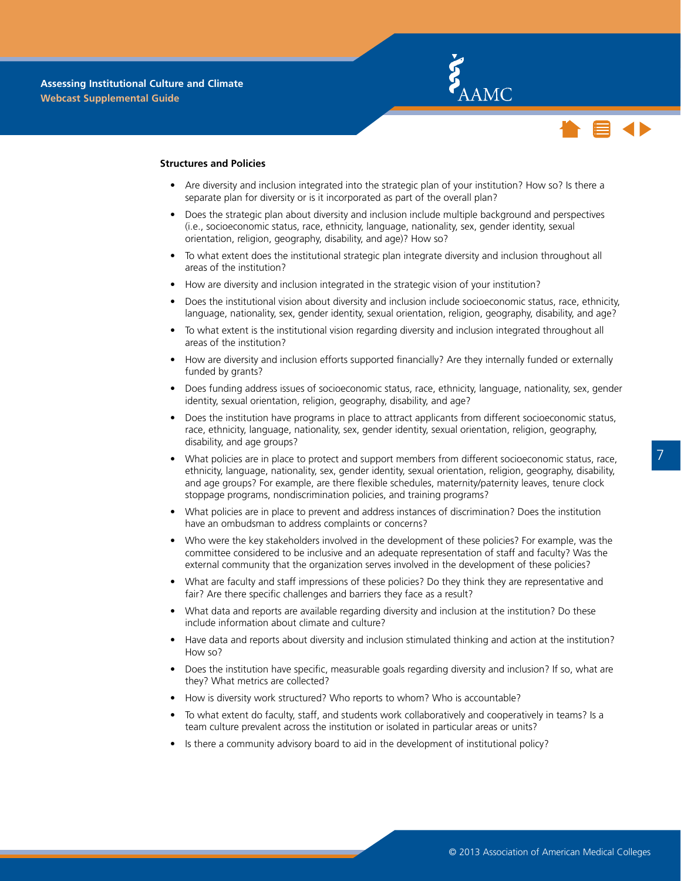



#### **Structures and Policies**

- Are diversity and inclusion integrated into the strategic plan of your institution? How so? Is there a separate plan for diversity or is it incorporated as part of the overall plan?
- Does the strategic plan about diversity and inclusion include multiple background and perspectives (i.e., socioeconomic status, race, ethnicity, language, nationality, sex, gender identity, sexual orientation, religion, geography, disability, and age)? How so?
- To what extent does the institutional strategic plan integrate diversity and inclusion throughout all areas of the institution?
- How are diversity and inclusion integrated in the strategic vision of your institution?
- Does the institutional vision about diversity and inclusion include socioeconomic status, race, ethnicity, language, nationality, sex, gender identity, sexual orientation, religion, geography, disability, and age?
- • To what extent is the institutional vision regarding diversity and inclusion integrated throughout all areas of the institution?
- How are diversity and inclusion efforts supported financially? Are they internally funded or externally funded by grants?
- Does funding address issues of socioeconomic status, race, ethnicity, language, nationality, sex, gender identity, sexual orientation, religion, geography, disability, and age?
- Does the institution have programs in place to attract applicants from different socioeconomic status, race, ethnicity, language, nationality, sex, gender identity, sexual orientation, religion, geography, disability, and age groups?
- What policies are in place to protect and support members from different socioeconomic status, race, ethnicity, language, nationality, sex, gender identity, sexual orientation, religion, geography, disability, and age groups? For example, are there flexible schedules, maternity/paternity leaves, tenure clock stoppage programs, nondiscrimination policies, and training programs?
- What policies are in place to prevent and address instances of discrimination? Does the institution have an ombudsman to address complaints or concerns?
- Who were the key stakeholders involved in the development of these policies? For example, was the committee considered to be inclusive and an adequate representation of staff and faculty? Was the external community that the organization serves involved in the development of these policies?
- What are faculty and staff impressions of these policies? Do they think they are representative and fair? Are there specific challenges and barriers they face as a result?
- What data and reports are available regarding diversity and inclusion at the institution? Do these include information about climate and culture?
- Have data and reports about diversity and inclusion stimulated thinking and action at the institution? How so?
- Does the institution have specific, measurable goals regarding diversity and inclusion? If so, what are they? What metrics are collected?
- How is diversity work structured? Who reports to whom? Who is accountable?
- To what extent do faculty, staff, and students work collaboratively and cooperatively in teams? Is a team culture prevalent across the institution or isolated in particular areas or units?
- Is there a community advisory board to aid in the development of institutional policy?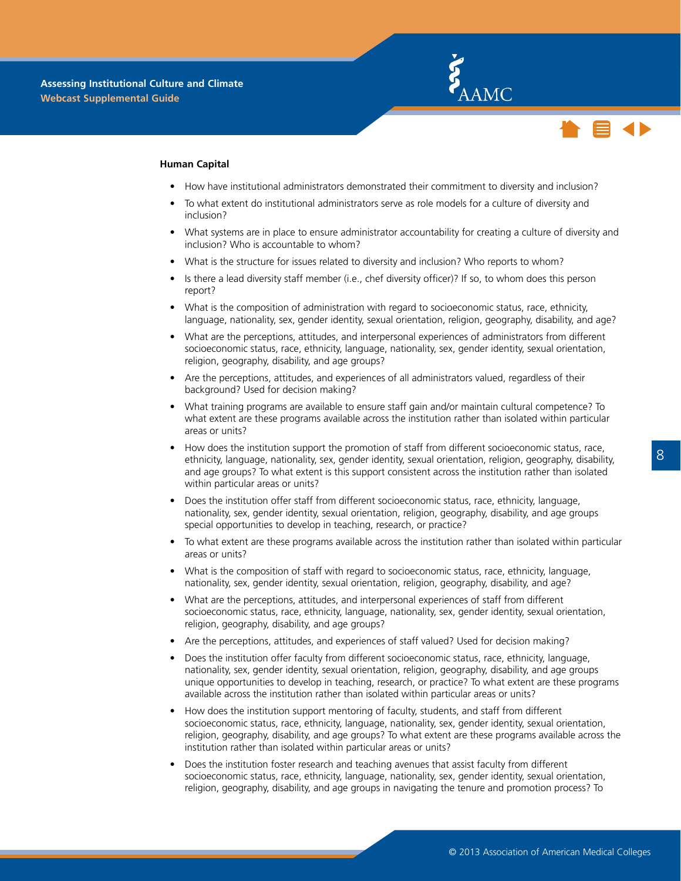



#### **Human Capital**

- How have institutional administrators demonstrated their commitment to diversity and inclusion?
- To what extent do institutional administrators serve as role models for a culture of diversity and inclusion?
- What systems are in place to ensure administrator accountability for creating a culture of diversity and inclusion? Who is accountable to whom?
- What is the structure for issues related to diversity and inclusion? Who reports to whom?
- Is there a lead diversity staff member (i.e., chef diversity officer)? If so, to whom does this person report?
- What is the composition of administration with regard to socioeconomic status, race, ethnicity, language, nationality, sex, gender identity, sexual orientation, religion, geography, disability, and age?
- • What are the perceptions, attitudes, and interpersonal experiences of administrators from different socioeconomic status, race, ethnicity, language, nationality, sex, gender identity, sexual orientation, religion, geography, disability, and age groups?
- Are the perceptions, attitudes, and experiences of all administrators valued, regardless of their background? Used for decision making?
- What training programs are available to ensure staff gain and/or maintain cultural competence? To what extent are these programs available across the institution rather than isolated within particular areas or units?
- How does the institution support the promotion of staff from different socioeconomic status, race, ethnicity, language, nationality, sex, gender identity, sexual orientation, religion, geography, disability, and age groups? To what extent is this support consistent across the institution rather than isolated within particular areas or units?
- Does the institution offer staff from different socioeconomic status, race, ethnicity, language, nationality, sex, gender identity, sexual orientation, religion, geography, disability, and age groups special opportunities to develop in teaching, research, or practice?
- To what extent are these programs available across the institution rather than isolated within particular areas or units?
- What is the composition of staff with regard to socioeconomic status, race, ethnicity, language, nationality, sex, gender identity, sexual orientation, religion, geography, disability, and age?
- What are the perceptions, attitudes, and interpersonal experiences of staff from different socioeconomic status, race, ethnicity, language, nationality, sex, gender identity, sexual orientation, religion, geography, disability, and age groups?
- Are the perceptions, attitudes, and experiences of staff valued? Used for decision making?
- Does the institution offer faculty from different socioeconomic status, race, ethnicity, language, nationality, sex, gender identity, sexual orientation, religion, geography, disability, and age groups unique opportunities to develop in teaching, research, or practice? To what extent are these programs available across the institution rather than isolated within particular areas or units?
- How does the institution support mentoring of faculty, students, and staff from different socioeconomic status, race, ethnicity, language, nationality, sex, gender identity, sexual orientation, religion, geography, disability, and age groups? To what extent are these programs available across the institution rather than isolated within particular areas or units?
- Does the institution foster research and teaching avenues that assist faculty from different socioeconomic status, race, ethnicity, language, nationality, sex, gender identity, sexual orientation, religion, geography, disability, and age groups in navigating the tenure and promotion process? To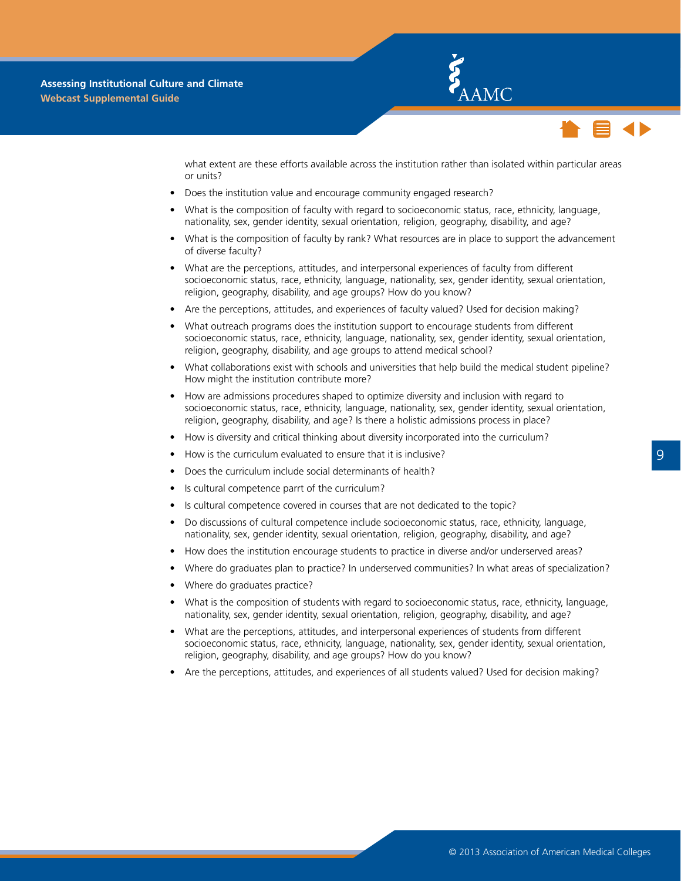



what extent are these efforts available across the institution rather than isolated within particular areas or units?

- Does the institution value and encourage community engaged research?
- What is the composition of faculty with regard to socioeconomic status, race, ethnicity, language, nationality, sex, gender identity, sexual orientation, religion, geography, disability, and age?
- What is the composition of faculty by rank? What resources are in place to support the advancement of diverse faculty?
- What are the perceptions, attitudes, and interpersonal experiences of faculty from different socioeconomic status, race, ethnicity, language, nationality, sex, gender identity, sexual orientation, religion, geography, disability, and age groups? How do you know?
- • Are the perceptions, attitudes, and experiences of faculty valued? Used for decision making?
- What outreach programs does the institution support to encourage students from different socioeconomic status, race, ethnicity, language, nationality, sex, gender identity, sexual orientation, religion, geography, disability, and age groups to attend medical school?
- What collaborations exist with schools and universities that help build the medical student pipeline? How might the institution contribute more?
- How are admissions procedures shaped to optimize diversity and inclusion with regard to socioeconomic status, race, ethnicity, language, nationality, sex, gender identity, sexual orientation, religion, geography, disability, and age? Is there a holistic admissions process in place?
- How is diversity and critical thinking about diversity incorporated into the curriculum?
- How is the curriculum evaluated to ensure that it is inclusive?
- Does the curriculum include social determinants of health?
- Is cultural competence parrt of the curriculum?
- Is cultural competence covered in courses that are not dedicated to the topic?
- Do discussions of cultural competence include socioeconomic status, race, ethnicity, language, nationality, sex, gender identity, sexual orientation, religion, geography, disability, and age?
- How does the institution encourage students to practice in diverse and/or underserved areas?
- Where do graduates plan to practice? In underserved communities? In what areas of specialization?
- Where do graduates practice?
- What is the composition of students with regard to socioeconomic status, race, ethnicity, language, nationality, sex, gender identity, sexual orientation, religion, geography, disability, and age?
- What are the perceptions, attitudes, and interpersonal experiences of students from different socioeconomic status, race, ethnicity, language, nationality, sex, gender identity, sexual orientation, religion, geography, disability, and age groups? How do you know?
- Are the perceptions, attitudes, and experiences of all students valued? Used for decision making?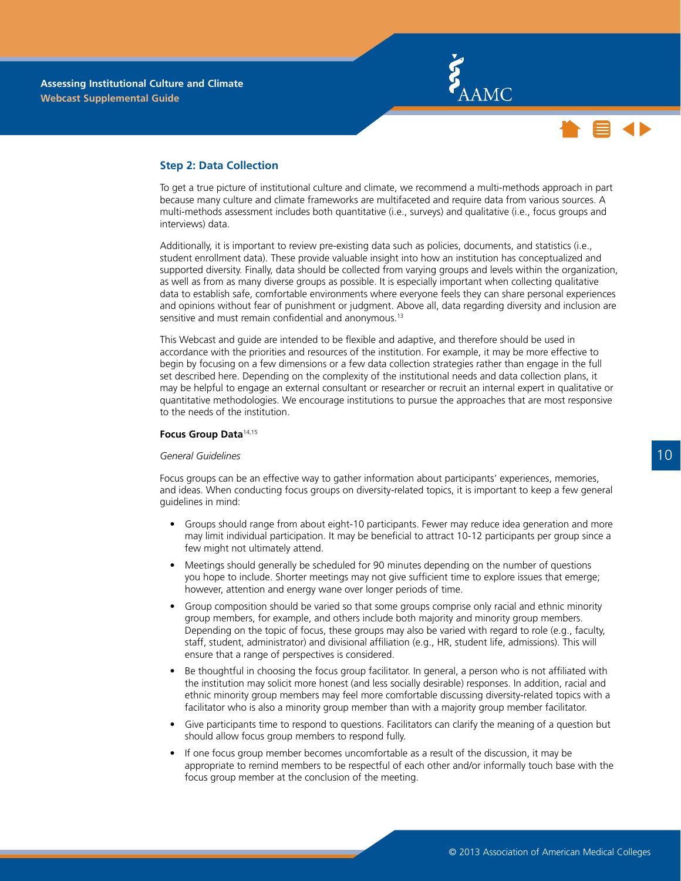



#### <span id="page-13-0"></span>**Step 2: Data Collection**

To get a true picture of institutional culture and climate, we recommend a multi-methods approach in part because many culture and climate frameworks are multifaceted and require data from various sources. A multi-methods assessment includes both quantitative (i.e., surveys) and qualitative (i.e., focus groups and interviews) data.

Additionally, it is important to review pre-existing data such as policies, documents, and statistics (i.e., student enrollment data). These provide valuable insight into how an institution has conceptualized and supported diversity. Finally, data should be collected from varying groups and levels within the organization, as well as from as many diverse groups as possible. It is especially important when collecting qualitative data to establish safe, comfortable environments where everyone feels they can share personal experiences and opinions without fear of punishment or judgment. Above all, data regarding diversity and inclusion are sensitive and must remain confidential and anonymous.<sup>13</sup>

This Webcast and guide are intended to be flexible and adaptive, and therefore should be used in accordance with the priorities and resources of the institution. For example, it may be more effective to begin by focusing on a few dimensions or a few data collection strategies rather than engage in the full set described here. Depending on the complexity of the institutional needs and data collection plans, it may be helpful to engage an external consultant or researcher or recruit an internal expert in qualitative or quantitative methodologies. We encourage institutions to pursue the approaches that are most responsive to the needs of the institution.

#### **Focus Group Data**14,15

#### *General Guidelines*

Focus groups can be an effective way to gather information about participants' experiences, memories, and ideas. When conducting focus groups on diversity-related topics, it is important to keep a few general guidelines in mind:

- Groups should range from about eight-10 participants. Fewer may reduce idea generation and more may limit individual participation. It may be beneficial to attract 10-12 participants per group since a few might not ultimately attend.
- Meetings should generally be scheduled for 90 minutes depending on the number of questions you hope to include. Shorter meetings may not give sufficient time to explore issues that emerge; however, attention and energy wane over longer periods of time.
- • Group composition should be varied so that some groups comprise only racial and ethnic minority group members, for example, and others include both majority and minority group members. Depending on the topic of focus, these groups may also be varied with regard to role (e.g., faculty, staff, student, administrator) and divisional affiliation (e.g., HR, student life, admissions). This will ensure that a range of perspectives is considered.
- Be thoughtful in choosing the focus group facilitator. In general, a person who is not affiliated with the institution may solicit more honest (and less socially desirable) responses. In addition, racial and ethnic minority group members may feel more comfortable discussing diversity-related topics with a facilitator who is also a minority group member than with a majority group member facilitator.
- • Give participants time to respond to questions. Facilitators can clarify the meaning of a question but should allow focus group members to respond fully.
- If one focus group member becomes uncomfortable as a result of the discussion, it may be appropriate to remind members to be respectful of each other and/or informally touch base with the focus group member at the conclusion of the meeting.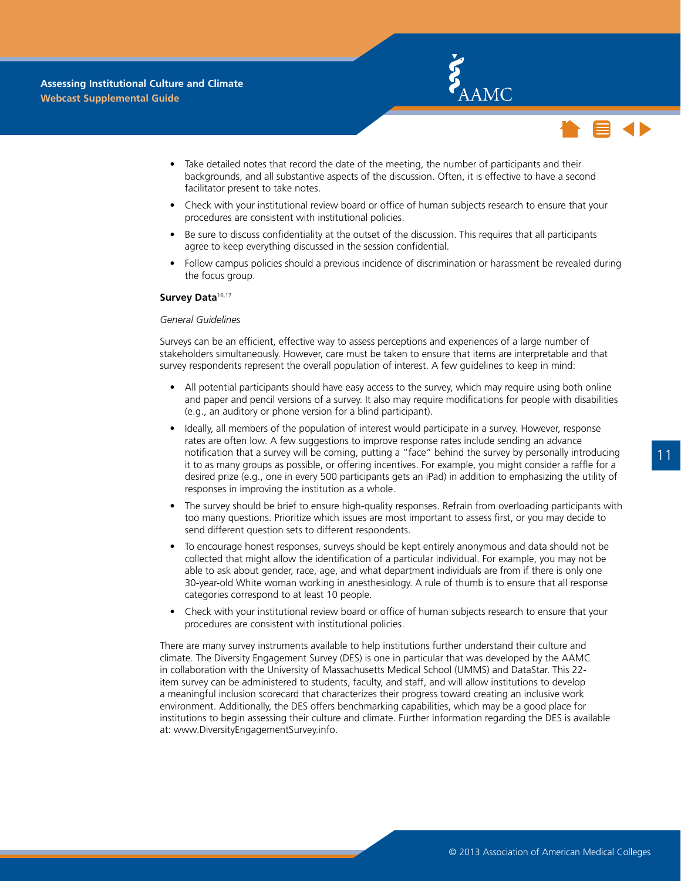



- <span id="page-14-0"></span>Take detailed notes that record the date of the meeting, the number of participants and their backgrounds, and all substantive aspects of the discussion. Often, it is effective to have a second facilitator present to take notes.
- Check with your institutional review board or office of human subjects research to ensure that your procedures are consistent with institutional policies.
- Be sure to discuss confidentiality at the outset of the discussion. This requires that all participants agree to keep everything discussed in the session confidential.
- Follow campus policies should a previous incidence of discrimination or harassment be revealed during the focus group.

#### **Survey Data**16,17

#### *General Guidelines*

Surveys can be an efficient, effective way to assess perceptions and experiences of a large number of stakeholders simultaneously. However, care must be taken to ensure that items are interpretable and that survey respondents represent the overall population of interest. A few guidelines to keep in mind:

- All potential participants should have easy access to the survey, which may require using both online and paper and pencil versions of a survey. It also may require modifications for people with disabilities (e.g., an auditory or phone version for a blind participant).
- Ideally, all members of the population of interest would participate in a survey. However, response rates are often low. A few suggestions to improve response rates include sending an advance notification that a survey will be coming, putting a "face" behind the survey by personally introducing it to as many groups as possible, or offering incentives. For example, you might consider a raffle for a desired prize (e.g., one in every 500 participants gets an iPad) in addition to emphasizing the utility of responses in improving the institution as a whole.
- The survey should be brief to ensure high-quality responses. Refrain from overloading participants with too many questions. Prioritize which issues are most important to assess first, or you may decide to send different question sets to different respondents.
- • To encourage honest responses, surveys should be kept entirely anonymous and data should not be collected that might allow the identification of a particular individual. For example, you may not be able to ask about gender, race, age, and what department individuals are from if there is only one 30-year-old White woman working in anesthesiology. A rule of thumb is to ensure that all response categories correspond to at least 10 people.
- Check with your institutional review board or office of human subjects research to ensure that your procedures are consistent with institutional policies.

There are many survey instruments available to help institutions further understand their culture and climate. The Diversity Engagement Survey (DES) is one in particular that was developed by the AAMC in collaboration with the University of Massachusetts Medical School (UMMS) and DataStar. This 22 item survey can be administered to students, faculty, and staff, and will allow institutions to develop a meaningful inclusion scorecard that characterizes their progress toward creating an inclusive work environment. Additionally, the DES offers benchmarking capabilities, which may be a good place for institutions to begin assessing their culture and climate. Further information regarding the DES is available at: www.DiversityEngagementSurvey.info.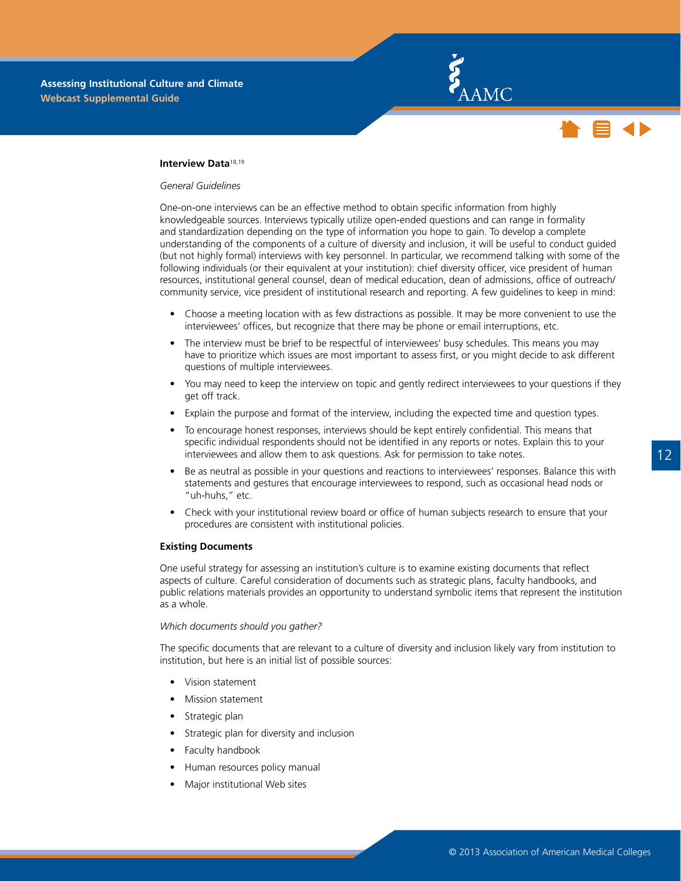



#### <span id="page-15-0"></span>**Interview Data**18,19

#### *General Guidelines*

One-on-one interviews can be an effective method to obtain specific information from highly knowledgeable sources. Interviews typically utilize open-ended questions and can range in formality and standardization depending on the type of information you hope to gain. To develop a complete understanding of the components of a culture of diversity and inclusion, it will be useful to conduct guided (but not highly formal) interviews with key personnel. In particular, we recommend talking with some of the following individuals (or their equivalent at your institution): chief diversity officer, vice president of human resources, institutional general counsel, dean of medical education, dean of admissions, office of outreach/ community service, vice president of institutional research and reporting. A few guidelines to keep in mind:

- Choose a meeting location with as few distractions as possible. It may be more convenient to use the interviewees' offices, but recognize that there may be phone or email interruptions, etc.
- The interview must be brief to be respectful of interviewees' busy schedules. This means you may have to prioritize which issues are most important to assess first, or you might decide to ask different questions of multiple interviewees.
- You may need to keep the interview on topic and gently redirect interviewees to your questions if they get off track.
- Explain the purpose and format of the interview, including the expected time and question types.
- To encourage honest responses, interviews should be kept entirely confidential. This means that specific individual respondents should not be identified in any reports or notes. Explain this to your interviewees and allow them to ask questions. Ask for permission to take notes.
- • Be as neutral as possible in your questions and reactions to interviewees' responses. Balance this with statements and gestures that encourage interviewees to respond, such as occasional head nods or "uh-huhs," etc.
- Check with your institutional review board or office of human subjects research to ensure that your procedures are consistent with institutional policies.

#### **Existing Documents**

One useful strategy for assessing an institution's culture is to examine existing documents that reflect aspects of culture. Careful consideration of documents such as strategic plans, faculty handbooks, and public relations materials provides an opportunity to understand symbolic items that represent the institution as a whole.

#### *Which documents should you gather?*

The specific documents that are relevant to a culture of diversity and inclusion likely vary from institution to institution, but here is an initial list of possible sources:

- Vision statement
- **Mission statement**
- Strategic plan
- Strategic plan for diversity and inclusion
- Faculty handbook
- Human resources policy manual
- Major institutional Web sites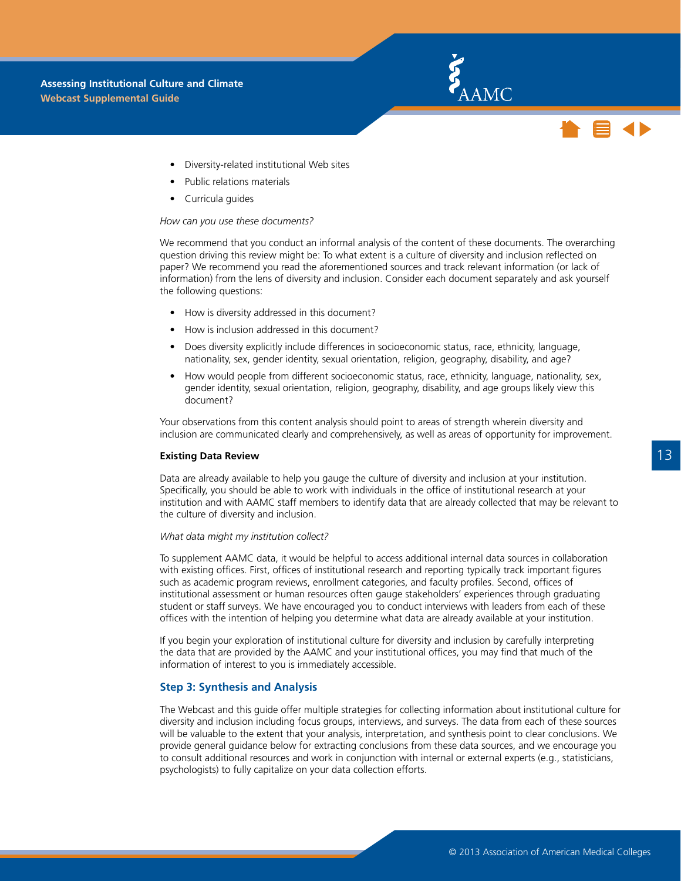- <span id="page-16-0"></span>Diversity-related institutional Web sites
- Public relations materials
- Curricula guides

#### *How can you use these documents?*

We recommend that you conduct an informal analysis of the content of these documents. The overarching question driving this review might be: To what extent is a culture of diversity and inclusion reflected on paper? We recommend you read the aforementioned sources and track relevant information (or lack of information) from the lens of diversity and inclusion. Consider each document separately and ask yourself the following questions:

E AAMC

- How is diversity addressed in this document?
- How is inclusion addressed in this document?
- Does diversity explicitly include differences in socioeconomic status, race, ethnicity, language, nationality, sex, gender identity, sexual orientation, religion, geography, disability, and age?
- How would people from different socioeconomic status, race, ethnicity, language, nationality, sex, gender identity, sexual orientation, religion, geography, disability, and age groups likely view this document?

Your observations from this content analysis should point to areas of strength wherein diversity and inclusion are communicated clearly and comprehensively, as well as areas of opportunity for improvement.

#### **Existing Data Review**

Data are already available to help you gauge the culture of diversity and inclusion at your institution. Specifically, you should be able to work with individuals in the office of institutional research at your institution and with AAMC staff members to identify data that are already collected that may be relevant to the culture of diversity and inclusion.

#### *What data might my institution collect?*

To supplement AAMC data, it would be helpful to access additional internal data sources in collaboration with existing offices. First, offices of institutional research and reporting typically track important figures such as academic program reviews, enrollment categories, and faculty profiles. Second, offices of institutional assessment or human resources often gauge stakeholders' experiences through graduating student or staff surveys. We have encouraged you to conduct interviews with leaders from each of these offices with the intention of helping you determine what data are already available at your institution.

If you begin your exploration of institutional culture for diversity and inclusion by carefully interpreting the data that are provided by the AAMC and your institutional offices, you may find that much of the information of interest to you is immediately accessible.

#### **Step 3: Synthesis and Analysis**

The Webcast and this guide offer multiple strategies for collecting information about institutional culture for diversity and inclusion including focus groups, interviews, and surveys. The data from each of these sources will be valuable to the extent that your analysis, interpretation, and synthesis point to clear conclusions. We provide general guidance below for extracting conclusions from these data sources, and we encourage you to consult additional resources and work in conjunction with internal or external experts (e.g., statisticians, psychologists) to fully capitalize on your data collection efforts.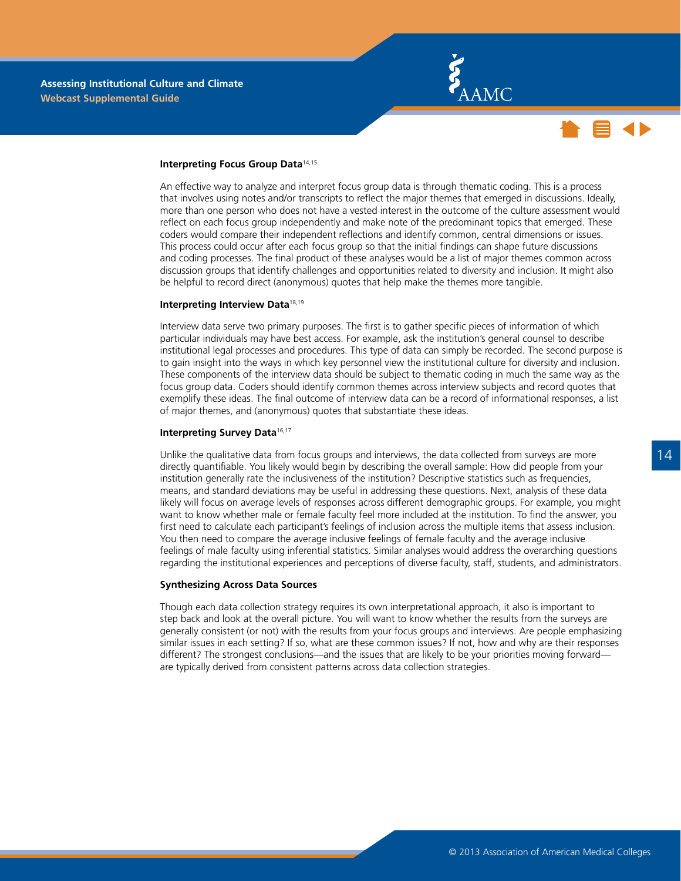



#### **Interpreting Focus Group Data**14,15

An effective way to analyze and interpret focus group data is through thematic coding. This is a process that involves using notes and/or transcripts to reflect the major themes that emerged in discussions. Ideally, more than one person who does not have a vested interest in the outcome of the culture assessment would reflect on each focus group independently and make note of the predominant topics that emerged. These coders would compare their independent reflections and identify common, central dimensions or issues. This process could occur after each focus group so that the initial findings can shape future discussions and coding processes. The final product of these analyses would be a list of major themes common across discussion groups that identify challenges and opportunities related to diversity and inclusion. It might also be helpful to record direct (anonymous) quotes that help make the themes more tangible.

#### **Interpreting Interview Data**18,19

Interview data serve two primary purposes. The first is to gather specific pieces of information of which particular individuals may have best access. For example, ask the institution's general counsel to describe institutional legal processes and procedures. This type of data can simply be recorded. The second purpose is to gain insight into the ways in which key personnel view the institutional culture for diversity and inclusion. These components of the interview data should be subject to thematic coding in much the same way as the focus group data. Coders should identify common themes across interview subjects and record quotes that exemplify these ideas. The final outcome of interview data can be a record of informational responses, a list of major themes, and (anonymous) quotes that substantiate these ideas.

#### **Interpreting Survey Data**16,17

Unlike the qualitative data from focus groups and interviews, the data collected from surveys are more directly quantifiable. You likely would begin by describing the overall sample: How did people from your institution generally rate the inclusiveness of the institution? Descriptive statistics such as frequencies, means, and standard deviations may be useful in addressing these questions. Next, analysis of these data likely will focus on average levels of responses across different demographic groups. For example, you might want to know whether male or female faculty feel more included at the institution. To find the answer, you first need to calculate each participant's feelings of inclusion across the multiple items that assess inclusion. You then need to compare the average inclusive feelings of female faculty and the average inclusive feelings of male faculty using inferential statistics. Similar analyses would address the overarching questions regarding the institutional experiences and perceptions of diverse faculty, staff, students, and administrators.

#### **Synthesizing Across Data Sources**

Though each data collection strategy requires its own interpretational approach, it also is important to step back and look at the overall picture. You will want to know whether the results from the surveys are generally consistent (or not) with the results from your focus groups and interviews. Are people emphasizing similar issues in each setting? If so, what are these common issues? If not, how and why are their responses different? The strongest conclusions—and the issues that are likely to be your priorities moving forward are typically derived from consistent patterns across data collection strategies.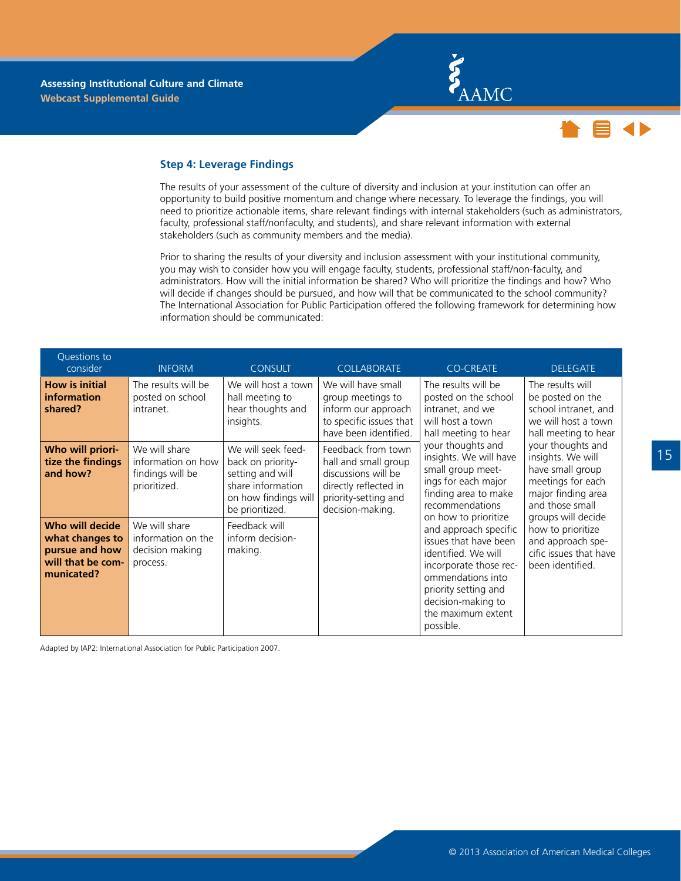



#### <span id="page-18-0"></span>**Step 4: Leverage Findings**

The results of your assessment of the culture of diversity and inclusion at your institution can offer an opportunity to build positive momentum and change where necessary. To leverage the findings, you will need to prioritize actionable items, share relevant findings with internal stakeholders (such as administrators, faculty, professional staff/nonfaculty, and students), and share relevant information with external stakeholders (such as community members and the media).

Prior to sharing the results of your diversity and inclusion assessment with your institutional community, you may wish to consider how you will engage faculty, students, professional staff/non-faculty, and administrators. How will the initial information be shared? Who will prioritize the findings and how? Who will decide if changes should be pursued, and how will that be communicated to the school community? The International Association for Public Participation offered the following framework for determining how information should be communicated:

| Questions to<br>consider                                                                | <b>INFORM</b>                                                           | <b>CONSULT</b>                                                                                                              | <b>COLLABORATE</b>                                                                                                                     | <b>CO-CREATE</b>                                                                                                                                                                                                                                  | <b>DELEGATE</b>                                                                                                                                                                                                                         |
|-----------------------------------------------------------------------------------------|-------------------------------------------------------------------------|-----------------------------------------------------------------------------------------------------------------------------|----------------------------------------------------------------------------------------------------------------------------------------|---------------------------------------------------------------------------------------------------------------------------------------------------------------------------------------------------------------------------------------------------|-----------------------------------------------------------------------------------------------------------------------------------------------------------------------------------------------------------------------------------------|
| <b>How is initial</b><br><b>information</b><br>shared?                                  | The results will be<br>posted on school<br>intranet.                    | We will host a town<br>hall meeting to<br>hear thoughts and<br>insights.                                                    | We will have small<br>group meetings to<br>inform our approach<br>to specific issues that<br>have been identified.                     | The results will be<br>posted on the school<br>intranet, and we<br>will host a town<br>hall meeting to hear<br>your thoughts and<br>insights. We will have<br>small group meet-<br>ings for each major<br>finding area to make<br>recommendations | The results will<br>be posted on the<br>school intranet, and<br>we will host a town<br>hall meeting to hear<br>your thoughts and<br>insights. We will<br>have small group<br>meetings for each<br>major finding area<br>and those small |
| Who will priori-<br>tize the findings<br>and how?                                       | We will share<br>information on how<br>findings will be<br>prioritized. | We will seek feed-<br>back on priority-<br>setting and will<br>share information<br>on how findings will<br>be prioritized. | Feedback from town<br>hall and small group<br>discussions will be<br>directly reflected in<br>priority-setting and<br>decision-making. |                                                                                                                                                                                                                                                   |                                                                                                                                                                                                                                         |
| Who will decide<br>what changes to<br>pursue and how<br>will that be com-<br>municated? | We will share<br>information on the<br>decision making<br>process.      | Feedback will<br>inform decision-<br>making.                                                                                |                                                                                                                                        | on how to prioritize<br>and approach specific<br>issues that have been<br>identified. We will<br>incorporate those rec-<br>ommendations into<br>priority setting and<br>decision-making to<br>the maximum extent<br>possible.                     | groups will decide<br>how to prioritize<br>and approach spe-<br>cific issues that have<br>been identified.                                                                                                                              |

Adapted by IAP2: International Association for Public Participation 2007.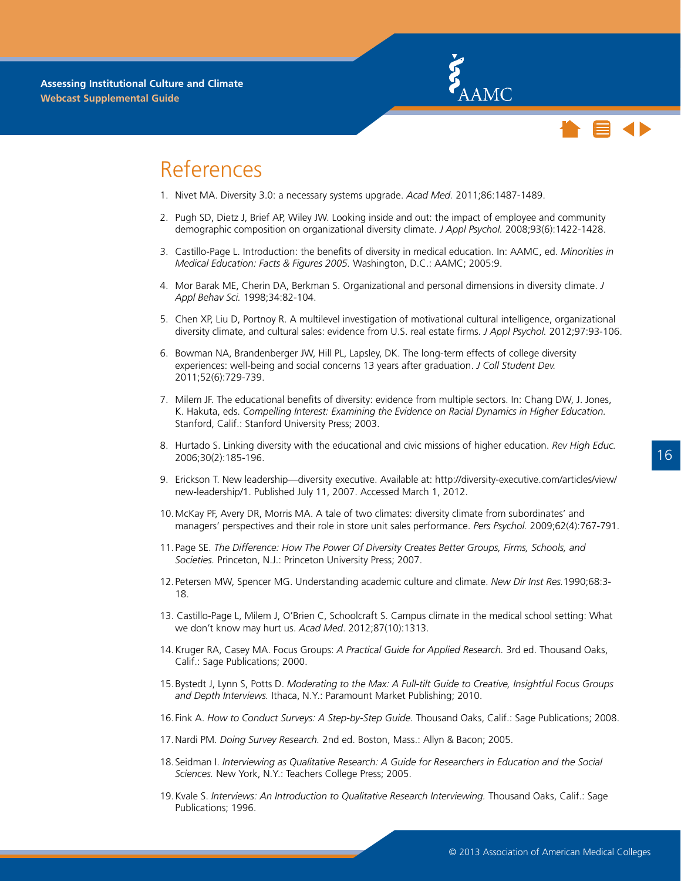



### <span id="page-19-0"></span>References

- 1. Nivet MA. Diversity 3.0: a necessary systems upgrade. *Acad Med.* 2011;86:1487-1489.
- 2. Pugh SD, Dietz J, Brief AP, Wiley JW. Looking inside and out: the impact of employee and community demographic composition on organizational diversity climate. *J Appl Psychol.* 2008;93(6):1422-1428.
- 3. Castillo-Page L. Introduction: the benefits of diversity in medical education. In: AAMC, ed. *Minorities in Medical Education: Facts & Figures 2005.* Washington, D.C.: AAMC; 2005:9.
- 4. Mor Barak ME, Cherin DA, Berkman S. Organizational and personal dimensions in diversity climate. *J Appl Behav Sci.* 1998;34:82-104.
- 5. Chen XP, Liu D, Portnoy R. A multilevel investigation of motivational cultural intelligence, organizational diversity climate, and cultural sales: evidence from U.S. real estate firms. *J Appl Psychol.* 2012;97:93-106.
- 6. Bowman NA, Brandenberger JW, Hill PL, Lapsley, DK. The long-term effects of college diversity experiences: well-being and social concerns 13 years after graduation. *J Coll Student Dev.*  2011;52(6):729-739.
- 7. Milem JF. The educational benefits of diversity: evidence from multiple sectors. In: Chang DW, J. Jones, K. Hakuta, eds. *Compelling Interest: Examining the Evidence on Racial Dynamics in Higher Education.* Stanford, Calif.: Stanford University Press; 2003.
- 8. Hurtado S. Linking diversity with the educational and civic missions of higher education. *Rev High Educ.* 2006;30(2):185-196.
- 9. Erickson T. New leadership—diversity executive. Available at: http://diversity-executive.com/articles/view/ new-leadership/1. Published July 11, 2007. Accessed March 1, 2012.
- 10.McKay PF, Avery DR, Morris MA. A tale of two climates: diversity climate from subordinates' and managers' perspectives and their role in store unit sales performance. *Pers Psychol.* 2009;62(4):767-791.
- 11.Page SE. *The Difference: How The Power Of Diversity Creates Better Groups, Firms, Schools, and Societies.* Princeton, N.J.: Princeton University Press; 2007.
- 12.Petersen MW, Spencer MG. Understanding academic culture and climate. *New Dir Inst Res.*1990;68:3- 18.
- 13. Castillo-Page L, Milem J, O'Brien C, Schoolcraft S. Campus climate in the medical school setting: What we don't know may hurt us. *Acad Med*. 2012;87(10):1313.
- 14.Kruger RA, Casey MA. Focus Groups: *A Practical Guide for Applied Research.* 3rd ed. Thousand Oaks, Calif.: Sage Publications; 2000.
- 15.Bystedt J, Lynn S, Potts D. *Moderating to the Max: A Full-tilt Guide to Creative, Insightful Focus Groups and Depth Interviews.* Ithaca, N.Y.: Paramount Market Publishing; 2010.
- 16.Fink A. *How to Conduct Surveys: A Step-by-Step Guide.* Thousand Oaks, Calif.: Sage Publications; 2008.
- 17.Nardi PM. *Doing Survey Research.* 2nd ed. Boston, Mass.: Allyn & Bacon; 2005.
- 18.Seidman I. *Interviewing as Qualitative Research: A Guide for Researchers in Education and the Social Sciences.* New York, N.Y.: Teachers College Press; 2005.
- 19.Kvale S. *Interviews: An Introduction to Qualitative Research Interviewing.* Thousand Oaks, Calif.: Sage Publications; 1996.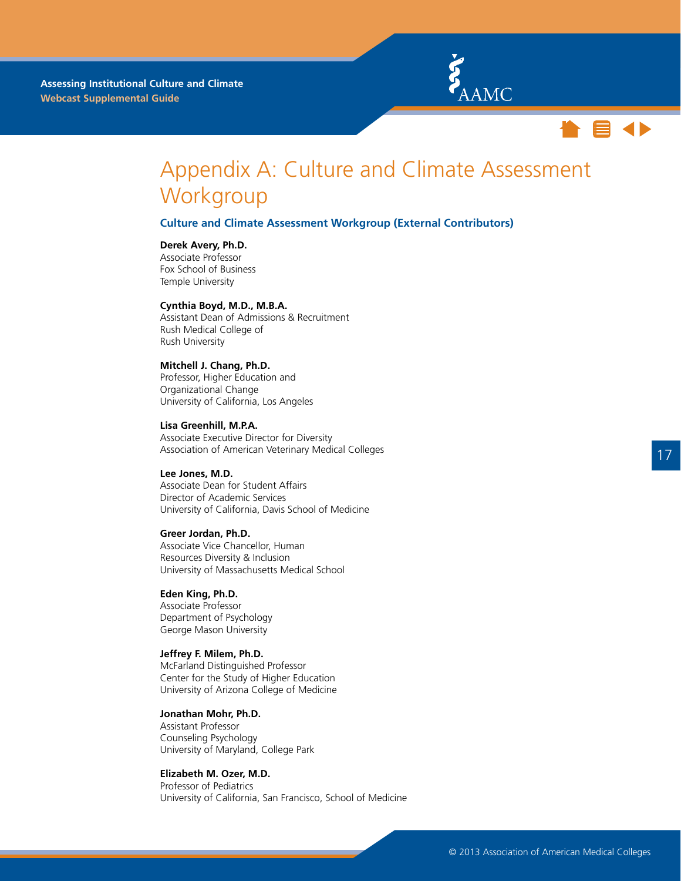



### <span id="page-20-0"></span>Appendix A: Culture and Climate Assessment **Workgroup**

#### **Culture and Climate Assessment Workgroup (External Contributors)**

#### **Derek Avery, Ph.D.**

Associate Professor Fox School of Business Temple University

#### **Cynthia Boyd, M.D., M.B.A.**

Assistant Dean of Admissions & Recruitment Rush Medical College of Rush University

#### **Mitchell J. Chang, Ph.D.**

Professor, Higher Education and Organizational Change University of California, Los Angeles

**Lisa Greenhill, M.P.A.** Associate Executive Director for Diversity Association of American Veterinary Medical Colleges

#### **Lee Jones, M.D.**

Associate Dean for Student Affairs Director of Academic Services University of California, Davis School of Medicine

#### **Greer Jordan, Ph.D.**

Associate Vice Chancellor, Human Resources Diversity & Inclusion University of Massachusetts Medical School

#### **Eden King, Ph.D.**

Associate Professor Department of Psychology George Mason University

#### **Jeffrey F. Milem, Ph.D.**

McFarland Distinguished Professor Center for the Study of Higher Education University of Arizona College of Medicine

#### **Jonathan Mohr, Ph.D.**

Assistant Professor Counseling Psychology University of Maryland, College Park

#### **Elizabeth M. Ozer, M.D.**

Professor of Pediatrics University of California, San Francisco, School of Medicine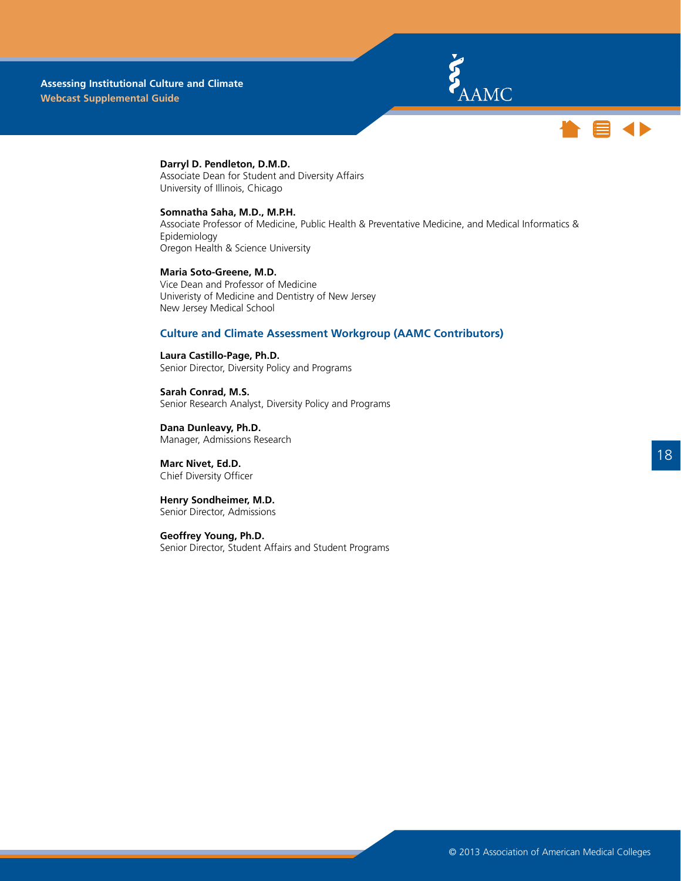



### **Darryl D. Pendleton, D.M.D.**

Associate Dean for Student and Diversity Affairs University of Illinois, Chicago

#### **Somnatha Saha, M.D., M.P.H.**

Associate Professor of Medicine, Public Health & Preventative Medicine, and Medical Informatics & Epidemiology Oregon Health & Science University

**Maria Soto-Greene, M.D.** Vice Dean and Professor of Medicine Univeristy of Medicine and Dentistry of New Jersey New Jersey Medical School

#### **Culture and Climate Assessment Workgroup (AAMC Contributors)**

**Laura Castillo-Page, Ph.D.** Senior Director, Diversity Policy and Programs

**Sarah Conrad, M.S.** Senior Research Analyst, Diversity Policy and Programs

**Dana Dunleavy, Ph.D.** Manager, Admissions Research

**Marc Nivet, Ed.D.** Chief Diversity Officer

**Henry Sondheimer, M.D.**  Senior Director, Admissions

**Geoffrey Young, Ph.D.** Senior Director, Student Affairs and Student Programs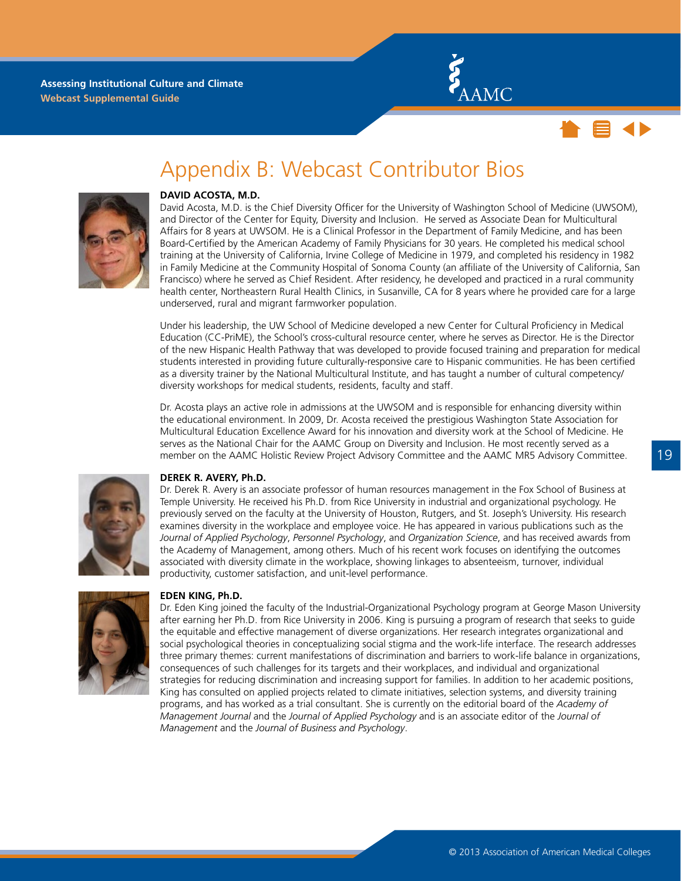



### Appendix B: Webcast Contributor Bios

<span id="page-22-0"></span>

#### **DAVID ACOSTA, M.D.**

David Acosta, M.D. is the Chief Diversity Officer for the University of Washington School of Medicine (UWSOM), and Director of the Center for Equity, Diversity and Inclusion. He served as Associate Dean for Multicultural Affairs for 8 years at UWSOM. He is a Clinical Professor in the Department of Family Medicine, and has been Board-Certified by the American Academy of Family Physicians for 30 years. He completed his medical school training at the University of California, Irvine College of Medicine in 1979, and completed his residency in 1982 in Family Medicine at the Community Hospital of Sonoma County (an affiliate of the University of California, San Francisco) where he served as Chief Resident. After residency, he developed and practiced in a rural community health center, Northeastern Rural Health Clinics, in Susanville, CA for 8 years where he provided care for a large underserved, rural and migrant farmworker population.

Under his leadership, the UW School of Medicine developed a new Center for Cultural Proficiency in Medical Education (CC-PriME), the School's cross-cultural resource center, where he serves as Director. He is the Director of the new Hispanic Health Pathway that was developed to provide focused training and preparation for medical students interested in providing future culturally-responsive care to Hispanic communities. He has been certified as a diversity trainer by the National Multicultural Institute, and has taught a number of cultural competency/ diversity workshops for medical students, residents, faculty and staff.

Dr. Acosta plays an active role in admissions at the UWSOM and is responsible for enhancing diversity within the educational environment. In 2009, Dr. Acosta received the prestigious Washington State Association for Multicultural Education Excellence Award for his innovation and diversity work at the School of Medicine. He serves as the National Chair for the AAMC Group on Diversity and Inclusion. He most recently served as a member on the AAMC Holistic Review Project Advisory Committee and the AAMC MR5 Advisory Committee.



#### **DEREK R. AVERY, Ph.D.**

Dr. Derek R. Avery is an associate professor of human resources management in the Fox School of Business at Temple University. He received his Ph.D. from Rice University in industrial and organizational psychology. He previously served on the faculty at the University of Houston, Rutgers, and St. Joseph's University. His research examines diversity in the workplace and employee voice. He has appeared in various publications such as the *Journal of Applied Psychology*, *Personnel Psychology*, and *Organization Science*, and has received awards from the Academy of Management, among others. Much of his recent work focuses on identifying the outcomes associated with diversity climate in the workplace, showing linkages to absenteeism, turnover, individual productivity, customer satisfaction, and unit-level performance.



#### **EDEN KING, Ph.D.**

Dr. Eden King joined the faculty of the Industrial-Organizational Psychology program at George Mason University after earning her Ph.D. from Rice University in 2006. King is pursuing a program of research that seeks to guide the equitable and effective management of diverse organizations. Her research integrates organizational and social psychological theories in conceptualizing social stigma and the work-life interface. The research addresses three primary themes: current manifestations of discrimination and barriers to work-life balance in organizations, consequences of such challenges for its targets and their workplaces, and individual and organizational strategies for reducing discrimination and increasing support for families. In addition to her academic positions, King has consulted on applied projects related to climate initiatives, selection systems, and diversity training programs, and has worked as a trial consultant. She is currently on the editorial board of the *Academy of Management Journal* and the *Journal of Applied Psychology* and is an associate editor of the *Journal of Management* and the *Journal of Business and Psychology*.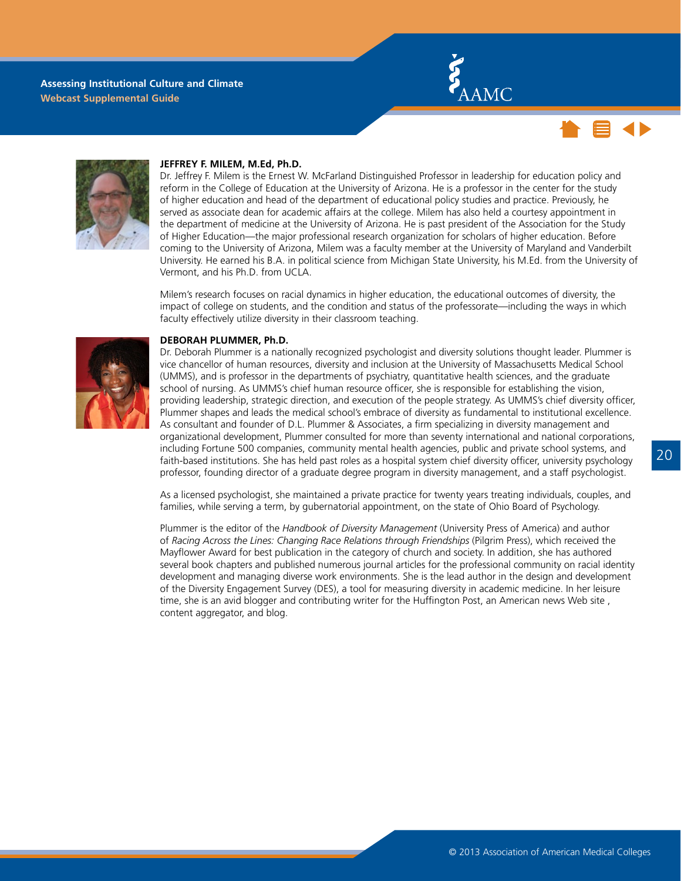





#### **JEFFREY F. MILEM, M.Ed, Ph.D.**

Dr. Jeffrey F. Milem is the Ernest W. McFarland Distinguished Professor in leadership for education policy and reform in the College of Education at the University of Arizona. He is a professor in the center for the study of higher education and head of the department of educational policy studies and practice. Previously, he served as associate dean for academic affairs at the college. Milem has also held a courtesy appointment in the department of medicine at the University of Arizona. He is past president of the Association for the Study of Higher Education—the major professional research organization for scholars of higher education. Before coming to the University of Arizona, Milem was a faculty member at the University of Maryland and Vanderbilt University. He earned his B.A. in political science from Michigan State University, his M.Ed. from the University of Vermont, and his Ph.D. from UCLA.

Milem's research focuses on racial dynamics in higher education, the educational outcomes of diversity, the impact of college on students, and the condition and status of the professorate—including the ways in which faculty effectively utilize diversity in their classroom teaching.



#### **DEBORAH PLUMMER, Ph.D.**

Dr. Deborah Plummer is a nationally recognized psychologist and diversity solutions thought leader. Plummer is vice chancellor of human resources, diversity and inclusion at the University of Massachusetts Medical School (UMMS), and is professor in the departments of psychiatry, quantitative health sciences, and the graduate school of nursing. As UMMS's chief human resource officer, she is responsible for establishing the vision, providing leadership, strategic direction, and execution of the people strategy. As UMMS's chief diversity officer, Plummer shapes and leads the medical school's embrace of diversity as fundamental to institutional excellence. As consultant and founder of D.L. Plummer & Associates, a firm specializing in diversity management and organizational development, Plummer consulted for more than seventy international and national corporations, including Fortune 500 companies, community mental health agencies, public and private school systems, and faith-based institutions. She has held past roles as a hospital system chief diversity officer, university psychology professor, founding director of a graduate degree program in diversity management, and a staff psychologist.

As a licensed psychologist, she maintained a private practice for twenty years treating individuals, couples, and families, while serving a term, by gubernatorial appointment, on the state of Ohio Board of Psychology.

Plummer is the editor of the *Handbook of Diversity Management* (University Press of America) and author of *Racing Across the Lines: Changing Race Relations through Friendships* (Pilgrim Press), which received the Mayflower Award for best publication in the category of church and society. In addition, she has authored several book chapters and published numerous journal articles for the professional community on racial identity development and managing diverse work environments. She is the lead author in the design and development of the Diversity Engagement Survey (DES), a tool for measuring diversity in academic medicine. In her leisure time, she is an avid blogger and contributing writer for the Huffington Post, an American news Web site , content aggregator, and blog.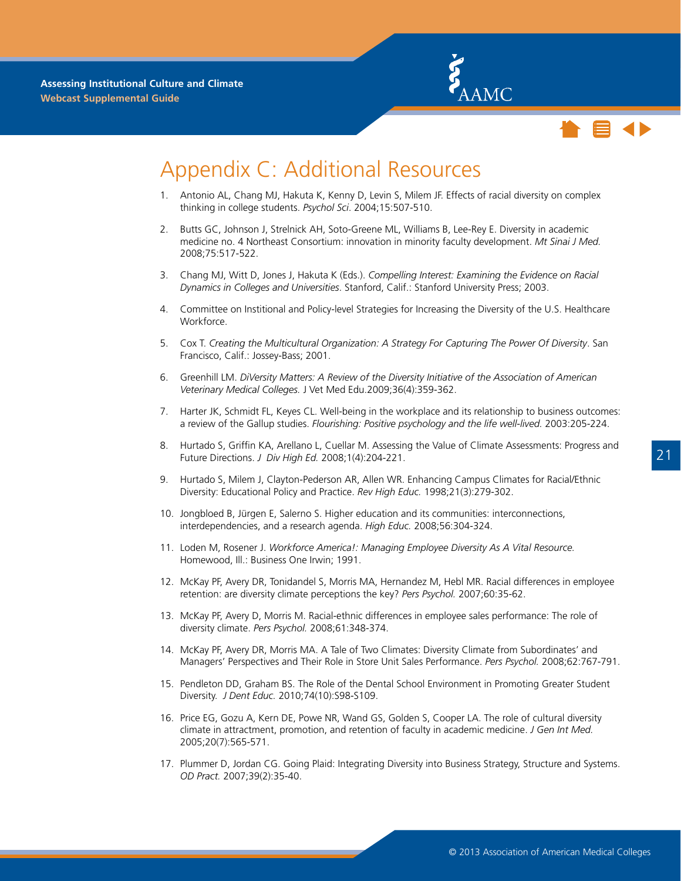



### <span id="page-24-0"></span>Appendix C: Additional Resources

- 1. Antonio AL, Chang MJ, Hakuta K, Kenny D, Levin S, Milem JF. Effects of racial diversity on complex thinking in college students. *Psychol Sci*. 2004;15:507-510.
- 2. Butts GC, Johnson J, Strelnick AH, Soto-Greene ML, Williams B, Lee-Rey E. Diversity in academic medicine no. 4 Northeast Consortium: innovation in minority faculty development. *Mt Sinai J Med.* 2008;75:517-522.
- 3. Chang MJ, Witt D, Jones J, Hakuta K (Eds.). *Compelling Interest: Examining the Evidence on Racial Dynamics in Colleges and Universities*. Stanford, Calif.: Stanford University Press; 2003.
- 4. Committee on Institional and Policy-level Strategies for Increasing the Diversity of the U.S. Healthcare Workforce.
- 5. Cox T. *Creating the Multicultural Organization: A Strategy For Capturing The Power Of Diversity*. San Francisco, Calif.: Jossey-Bass; 2001.
- 6. Greenhill LM. *DiVersity Matters: A Review of the Diversity Initiative of the Association of American Veterinary Medical Colleges.* J Vet Med Edu.2009;36(4):359-362.
- 7. Harter JK, Schmidt FL, Keyes CL. Well-being in the workplace and its relationship to business outcomes: a review of the Gallup studies. *Flourishing: Positive psychology and the life well-lived.* 2003:205-224.
- 8. Hurtado S, Griffin KA, Arellano L, Cuellar M. Assessing the Value of Climate Assessments: Progress and Future Directions. *J Div High Ed.* 2008;1(4):204-221.
- 9. Hurtado S, Milem J, Clayton-Pederson AR, Allen WR. Enhancing Campus Climates for Racial/Ethnic Diversity: Educational Policy and Practice. *Rev High Educ.* 1998;21(3):279-302.
- 10. Jongbloed B, Jürgen E, Salerno S. Higher education and its communities: interconnections, interdependencies, and a research agenda. *High Educ.* 2008;56:304-324.
- 11. Loden M, Rosener J. *Workforce America!: Managing Employee Diversity As A Vital Resource.*  Homewood, Ill.: Business One Irwin; 1991.
- 12. McKay PF, Avery DR, Tonidandel S, Morris MA, Hernandez M, Hebl MR. Racial differences in employee retention: are diversity climate perceptions the key? *Pers Psychol.* 2007;60:35-62.
- 13. McKay PF, Avery D, Morris M. Racial-ethnic differences in employee sales performance: The role of diversity climate. *Pers Psychol.* 2008;61:348-374.
- 14. McKay PF, Avery DR, Morris MA. A Tale of Two Climates: Diversity Climate from Subordinates' and Managers' Perspectives and Their Role in Store Unit Sales Performance. *Pers Psychol.* 2008;62:767-791.
- 15. Pendleton DD, Graham BS. The Role of the Dental School Environment in Promoting Greater Student Diversity. *J Dent Educ.* 2010;74(10):S98-S109.
- 16. Price EG, Gozu A, Kern DE, Powe NR, Wand GS, Golden S, Cooper LA. The role of cultural diversity climate in attractment, promotion, and retention of faculty in academic medicine. *J Gen Int Med.* 2005;20(7):565-571.
- 17. Plummer D, Jordan CG. Going Plaid: Integrating Diversity into Business Strategy, Structure and Systems. *OD Pract.* 2007;39(2):35-40.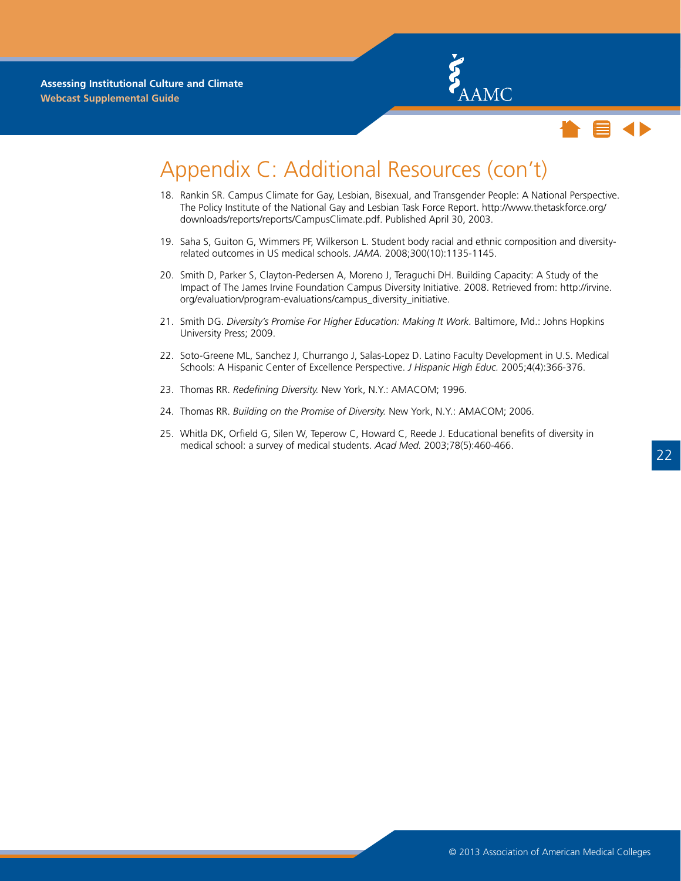



### Appendix C: Additional Resources (con't)

- 18. Rankin SR. Campus Climate for Gay, Lesbian, Bisexual, and Transgender People: A National Perspective. The Policy Institute of the National Gay and Lesbian Task Force Report. http://www.thetaskforce.org/ downloads/reports/reports/CampusClimate.pdf. Published April 30, 2003.
- 19. Saha S, Guiton G, Wimmers PF, Wilkerson L. Student body racial and ethnic composition and diversityrelated outcomes in US medical schools. *JAMA.* 2008;300(10):1135-1145.
- 20. Smith D, Parker S, Clayton-Pedersen A, Moreno J, Teraguchi DH. Building Capacity: A Study of the Impact of The James Irvine Foundation Campus Diversity Initiative. 2008. Retrieved from: http://irvine. org/evaluation/program-evaluations/campus\_diversity\_initiative.
- 21. Smith DG. *Diversity's Promise For Higher Education: Making It Work.* Baltimore, Md.: Johns Hopkins University Press; 2009.
- 22. Soto-Greene ML, Sanchez J, Churrango J, Salas-Lopez D. Latino Faculty Development in U.S. Medical Schools: A Hispanic Center of Excellence Perspective. *J Hispanic High Educ.* 2005;4(4):366-376.
- 23. Thomas RR. *Redefining Diversity.* New York, N.Y.: AMACOM; 1996.
- 24. Thomas RR. *Building on the Promise of Diversity.* New York, N.Y.: AMACOM; 2006.
- 25. Whitla DK, Orfield G, Silen W, Teperow C, Howard C, Reede J. Educational benefits of diversity in medical school: a survey of medical students. *Acad Med.* 2003;78(5):460-466.